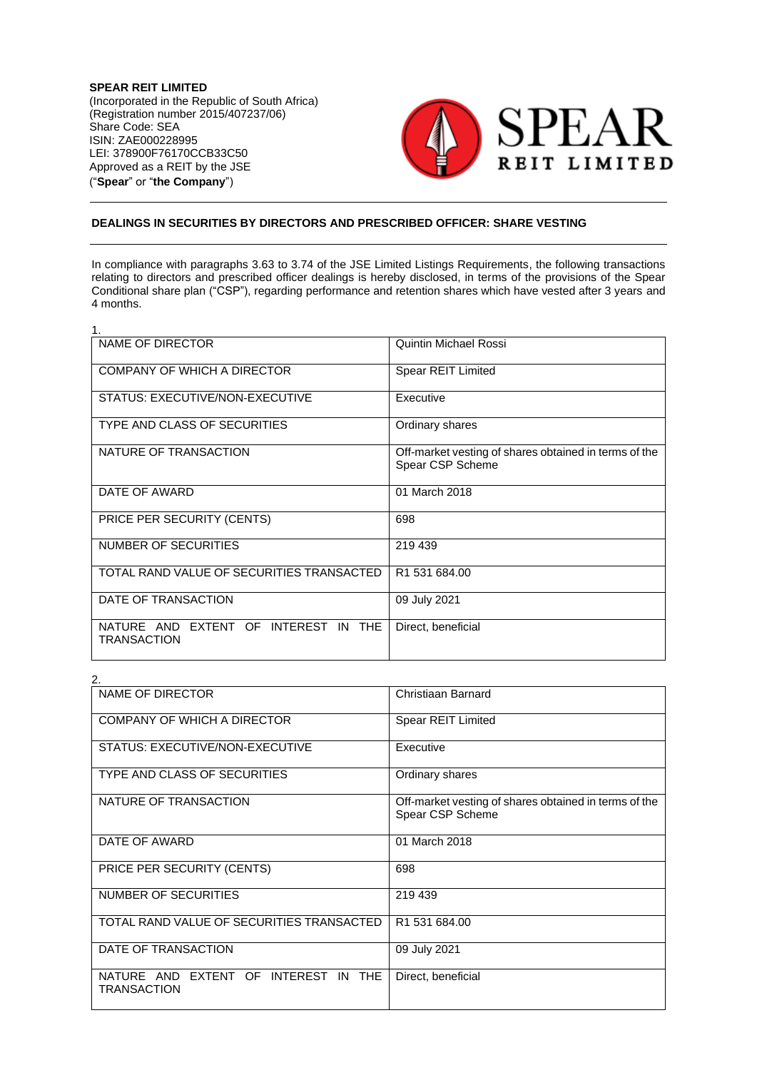**SPEAR REIT LIMITED** (Incorporated in the Republic of South Africa) (Registration number 2015/407237/06) Share Code: SEA ISIN: ZAE000228995 LEI: 378900F76170CCB33C50 Approved as a REIT by the JSE ("**Spear**" or "**the Company**")



## **DEALINGS IN SECURITIES BY DIRECTORS AND PRESCRIBED OFFICER: SHARE VESTING**

In compliance with paragraphs 3.63 to 3.74 of the JSE Limited Listings Requirements, the following transactions relating to directors and prescribed officer dealings is hereby disclosed, in terms of the provisions of the Spear Conditional share plan ("CSP"), regarding performance and retention shares which have vested after 3 years and 4 months.

| 1.                                                         |                                                                           |
|------------------------------------------------------------|---------------------------------------------------------------------------|
| NAME OF DIRECTOR                                           | Quintin Michael Rossi                                                     |
| COMPANY OF WHICH A DIRECTOR                                | Spear REIT Limited                                                        |
| STATUS: EXECUTIVE/NON-EXECUTIVE                            | Executive                                                                 |
| TYPE AND CLASS OF SECURITIES                               | Ordinary shares                                                           |
| NATURE OF TRANSACTION                                      | Off-market vesting of shares obtained in terms of the<br>Spear CSP Scheme |
| DATE OF AWARD                                              | 01 March 2018                                                             |
| PRICE PER SECURITY (CENTS)                                 | 698                                                                       |
| NUMBER OF SECURITIES                                       | 219 439                                                                   |
| TOTAL RAND VALUE OF SECURITIES TRANSACTED                  | R <sub>1</sub> 531684.00                                                  |
| DATE OF TRANSACTION                                        | 09 July 2021                                                              |
| NATURE AND EXTENT OF INTEREST IN THE<br><b>TRANSACTION</b> | Direct, beneficial                                                        |

| 2.                                                                   |                                                                           |  |
|----------------------------------------------------------------------|---------------------------------------------------------------------------|--|
| NAME OF DIRECTOR                                                     | Christiaan Barnard                                                        |  |
| COMPANY OF WHICH A DIRECTOR                                          | Spear REIT Limited                                                        |  |
| STATUS: EXECUTIVE/NON-EXECUTIVE                                      | Executive                                                                 |  |
| TYPE AND CLASS OF SECURITIES                                         | Ordinary shares                                                           |  |
| NATURE OF TRANSACTION                                                | Off-market vesting of shares obtained in terms of the<br>Spear CSP Scheme |  |
| DATE OF AWARD                                                        | 01 March 2018                                                             |  |
| PRICE PER SECURITY (CENTS)                                           | 698                                                                       |  |
| NUMBER OF SECURITIES                                                 | 219 439                                                                   |  |
| TOTAL RAND VALUE OF SECURITIES TRANSACTED                            | R1 531 684.00                                                             |  |
| DATE OF TRANSACTION                                                  | 09 July 2021                                                              |  |
| NATURE AND EXTENT OF INTEREST IN<br><b>THE</b><br><b>TRANSACTION</b> | Direct, beneficial                                                        |  |